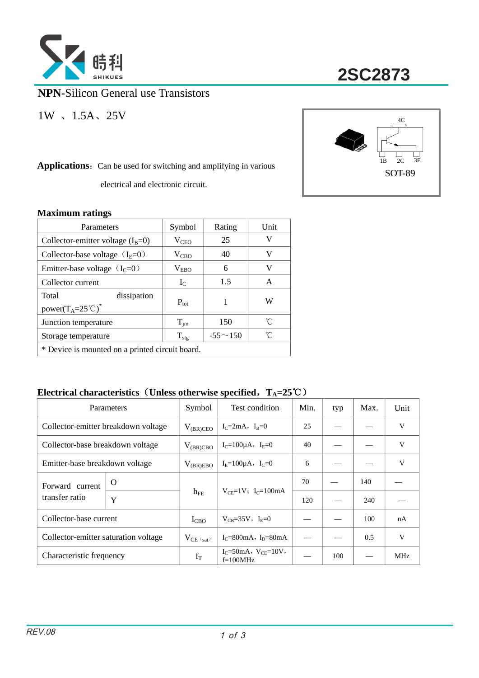

**2SC2873**

**NPN-**Silicon General use Transistors

1W 、1.5A、25V

Applications: Can be used for switching and amplifying in various

electrical and electronic circuit.



### **Maximum ratings**

| Parameters                                                                    | Symbol           | Rating         | Unit |  |  |  |
|-------------------------------------------------------------------------------|------------------|----------------|------|--|--|--|
| Collector-emitter voltage $(I_B=0)$                                           | $V_{\rm CEO}$    | 25             | V    |  |  |  |
| Collector-base voltage $(I_E=0)$                                              | $V_{CBO}$        | 40             | V    |  |  |  |
| Emitter-base voltage $(IC=0)$                                                 | $V_{EBO}$        | 6              | V    |  |  |  |
| Collector current                                                             | $I_{C}$          | 1.5            | A    |  |  |  |
| Total<br>dissipation<br>power(T <sub>A</sub> =25 <sup>°</sup> C) <sup>*</sup> | $P_{\text{tot}}$ | 1              | W    |  |  |  |
| Junction temperature                                                          | $T_{\text{im}}$  | 150            | °C   |  |  |  |
| Storage temperature                                                           | $T_{\text{stg}}$ | $-55 \sim 150$ | °∩   |  |  |  |
| * Device is mounted on a printed circuit board.                               |                  |                |      |  |  |  |

### **Electrical characteristics**(**Unless otherwise specified**,**TA=25**℃)

|                                      | Parameters |                | Test condition                                | Min. | typ | Max. | Unit       |
|--------------------------------------|------------|----------------|-----------------------------------------------|------|-----|------|------------|
| Collector-emitter breakdown voltage  |            | $V_{(BR)CEO}$  | $I_C = 2mA$ , $I_B = 0$                       | 25   |     |      | V          |
| Collector-base breakdown voltage     |            | $V_{(BR)CBO}$  | $I_C = 100 \mu A$ , $I_E = 0$                 | 40   |     |      | V          |
| Emitter-base breakdown voltage       |            | $V_{(BR)EBO}$  | $I_F = 100 \mu A$ , $I_C = 0$                 | 6    |     |      | V          |
| Forward current<br>transfer ratio    | O          | $h_{FE}$       | $V_{CF} = 1V$ ; I <sub>C</sub> =100mA         | 70   |     | 140  |            |
|                                      | Y          |                |                                               | 120  |     | 240  |            |
| Collector-base current               |            | $I_{CBO}$      | $V_{CB} = 35V$ , $I_{E} = 0$                  |      |     | 100  | nA         |
| Collector-emitter saturation voltage |            | $V_{CE (sat)}$ | $I_C = 800 \text{mA}$ , $I_R = 80 \text{mA}$  |      |     | 0.5  | V          |
| Characteristic frequency             |            | $f_T$          | $I_C = 50mA$ , $V_{CF} = 10V$ ,<br>$f=100MHz$ |      | 100 |      | <b>MHz</b> |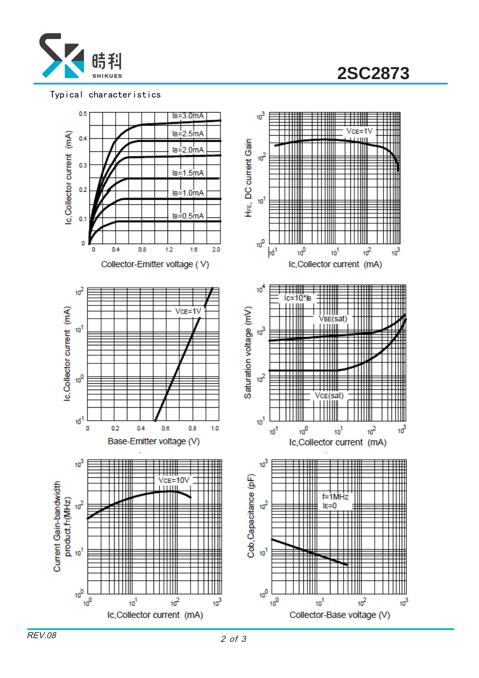

**2SC2873**

#### Typical characteristics



REV.08